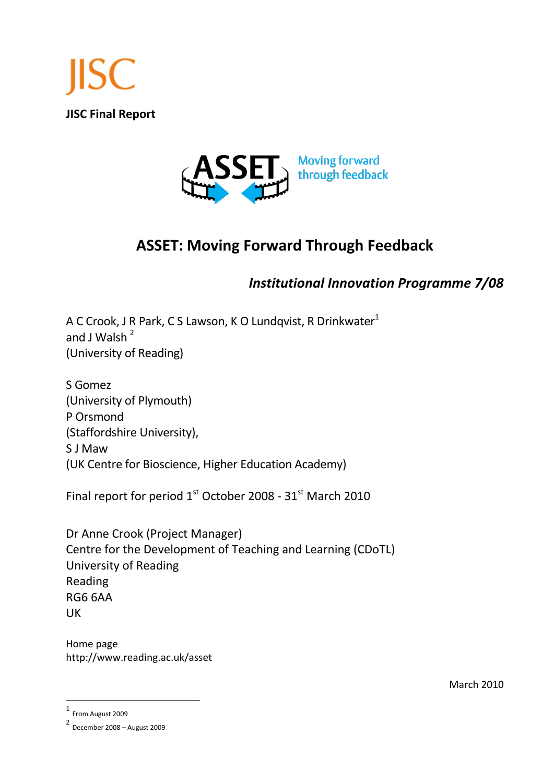<span id="page-0-0"></span>



# **ASSET: Moving Forward Through Feedback**

# *Institutional Innovation Programme 7/08*

A C Crook, J R Park, C S Lawson, K O Lundqvist, R Drinkwater<sup>1</sup> and J Walsh  $^2$ (University of Reading)

S Gomez (University of Plymouth) P Orsmond (Staffordshire University), S J Maw (UK Centre for Bioscience, Higher Education Academy)

Final report for period  $1<sup>st</sup>$  October 2008 - 31 $<sup>st</sup>$  March 2010</sup>

Dr Anne Crook (Project Manager) Centre for the Development of Teaching and Learning (CDoTL) University of Reading Reading RG6 6AA UK

Home page http://www.reading.ac.uk/asset

March 2010

 $\overline{a}$ 

<sup>1</sup> From August 2009

<sup>2</sup> December 2008 – August 2009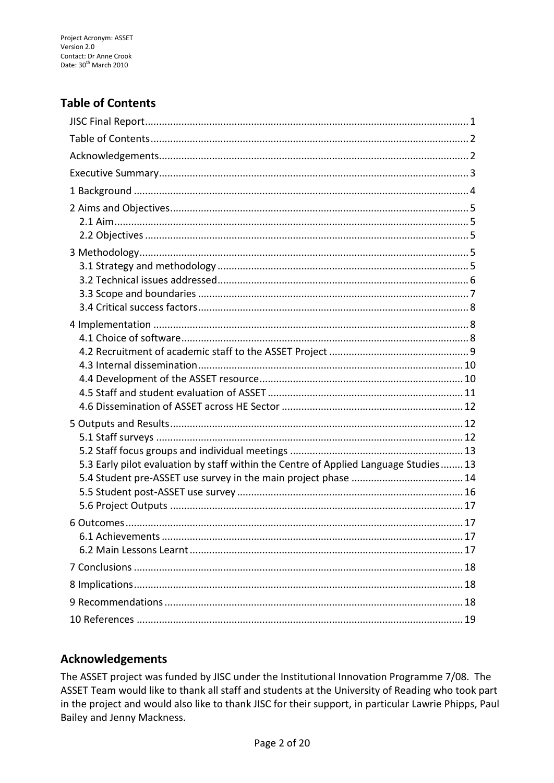# <span id="page-1-0"></span>**Table of Contents**

| 5.3 Early pilot evaluation by staff within the Centre of Applied Language Studies 13 |
|--------------------------------------------------------------------------------------|
|                                                                                      |
|                                                                                      |
|                                                                                      |
|                                                                                      |
|                                                                                      |
|                                                                                      |
|                                                                                      |
|                                                                                      |
|                                                                                      |
|                                                                                      |

# <span id="page-1-1"></span>**Acknowledgements**

The ASSET project was funded by JISC under the Institutional Innovation Programme 7/08. The ASSET Team would like to thank all staff and students at the University of Reading who took part in the project and would also like to thank JISC for their support, in particular Lawrie Phipps, Paul Bailey and Jenny Mackness.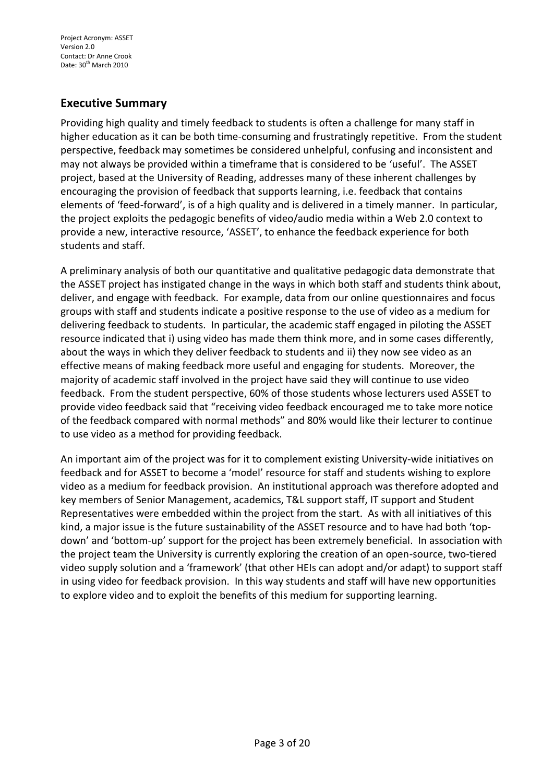## <span id="page-2-0"></span>**Executive Summary**

Providing high quality and timely feedback to students is often a challenge for many staff in higher education as it can be both time-consuming and frustratingly repetitive. From the student perspective, feedback may sometimes be considered unhelpful, confusing and inconsistent and may not always be provided within a timeframe that is considered to be 'useful'. The ASSET project, based at the University of Reading, addresses many of these inherent challenges by encouraging the provision of feedback that supports learning, i.e. feedback that contains elements of 'feed-forward', is of a high quality and is delivered in a timely manner. In particular, the project exploits the pedagogic benefits of video/audio media within a Web 2.0 context to provide a new, interactive resource, 'ASSET', to enhance the feedback experience for both students and staff.

A preliminary analysis of both our quantitative and qualitative pedagogic data demonstrate that the ASSET project has instigated change in the ways in which both staff and students think about, deliver, and engage with feedback. For example, data from our online questionnaires and focus groups with staff and students indicate a positive response to the use of video as a medium for delivering feedback to students. In particular, the academic staff engaged in piloting the ASSET resource indicated that i) using video has made them think more, and in some cases differently, about the ways in which they deliver feedback to students and ii) they now see video as an effective means of making feedback more useful and engaging for students. Moreover, the majority of academic staff involved in the project have said they will continue to use video feedback. From the student perspective, 60% of those students whose lecturers used ASSET to provide video feedback said that "receiving video feedback encouraged me to take more notice of the feedback compared with normal methods" and 80% would like their lecturer to continue to use video as a method for providing feedback.

An important aim of the project was for it to complement existing University-wide initiatives on feedback and for ASSET to become a 'model' resource for staff and students wishing to explore video as a medium for feedback provision. An institutional approach was therefore adopted and key members of Senior Management, academics, T&L support staff, IT support and Student Representatives were embedded within the project from the start. As with all initiatives of this kind, a major issue is the future sustainability of the ASSET resource and to have had both 'topdown' and 'bottom-up' support for the project has been extremely beneficial. In association with the project team the University is currently exploring the creation of an open-source, two-tiered video supply solution and a 'framework' (that other HEIs can adopt and/or adapt) to support staff in using video for feedback provision. In this way students and staff will have new opportunities to explore video and to exploit the benefits of this medium for supporting learning.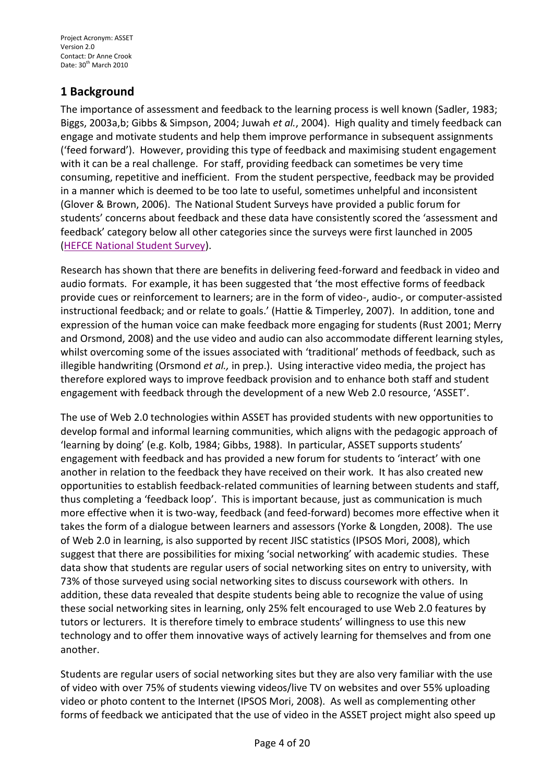# <span id="page-3-0"></span>**1 Background**

The importance of assessment and feedback to the learning process is well known (Sadler, 1983; Biggs, 2003a,b; Gibbs & Simpson, 2004; Juwah *et al.*, 2004). High quality and timely feedback can engage and motivate students and help them improve performance in subsequent assignments ('feed forward'). However, providing this type of feedback and maximising student engagement with it can be a real challenge. For staff, providing feedback can sometimes be very time consuming, repetitive and inefficient. From the student perspective, feedback may be provided in a manner which is deemed to be too late to useful, sometimes unhelpful and inconsistent (Glover & Brown, 2006). The National Student Surveys have provided a public forum for students' concerns about feedback and these data have consistently scored the 'assessment and feedback' category below all other categories since the surveys were first launched in 2005 [\(HEFCE National Student Survey\)](http://www.hefce.ac.uk/learning/nss/).

Research has shown that there are benefits in delivering feed-forward and feedback in video and audio formats. For example, it has been suggested that 'the most effective forms of feedback provide cues or reinforcement to learners; are in the form of video-, audio-, or computer-assisted instructional feedback; and or relate to goals.' (Hattie & Timperley, 2007). In addition, tone and expression of the human voice can make feedback more engaging for students (Rust 2001; Merry and Orsmond, 2008) and the use video and audio can also accommodate different learning styles, whilst overcoming some of the issues associated with 'traditional' methods of feedback, such as illegible handwriting (Orsmond *et al.,* in prep.). Using interactive video media, the project has therefore explored ways to improve feedback provision and to enhance both staff and student engagement with feedback through the development of a new Web 2.0 resource, 'ASSET'.

The use of Web 2.0 technologies within ASSET has provided students with new opportunities to develop formal and informal learning communities, which aligns with the pedagogic approach of 'learning by doing' (e.g. Kolb, 1984; Gibbs, 1988). In particular, ASSET supports students' engagement with feedback and has provided a new forum for students to 'interact' with one another in relation to the feedback they have received on their work. It has also created new opportunities to establish feedback-related communities of learning between students and staff, thus completing a 'feedback loop'. This is important because, just as communication is much more effective when it is two-way, feedback (and feed-forward) becomes more effective when it takes the form of a dialogue between learners and assessors (Yorke & Longden, 2008). The use of Web 2.0 in learning, is also supported by recent JISC statistics (IPSOS Mori, 2008), which suggest that there are possibilities for mixing 'social networking' with academic studies. These data show that students are regular users of social networking sites on entry to university, with 73% of those surveyed using social networking sites to discuss coursework with others. In addition, these data revealed that despite students being able to recognize the value of using these social networking sites in learning, only 25% felt encouraged to use Web 2.0 features by tutors or lecturers. It is therefore timely to embrace students' willingness to use this new technology and to offer them innovative ways of actively learning for themselves and from one another.

Students are regular users of social networking sites but they are also very familiar with the use of video with over 75% of students viewing videos/live TV on websites and over 55% uploading video or photo content to the Internet (IPSOS Mori, 2008). As well as complementing other forms of feedback we anticipated that the use of video in the ASSET project might also speed up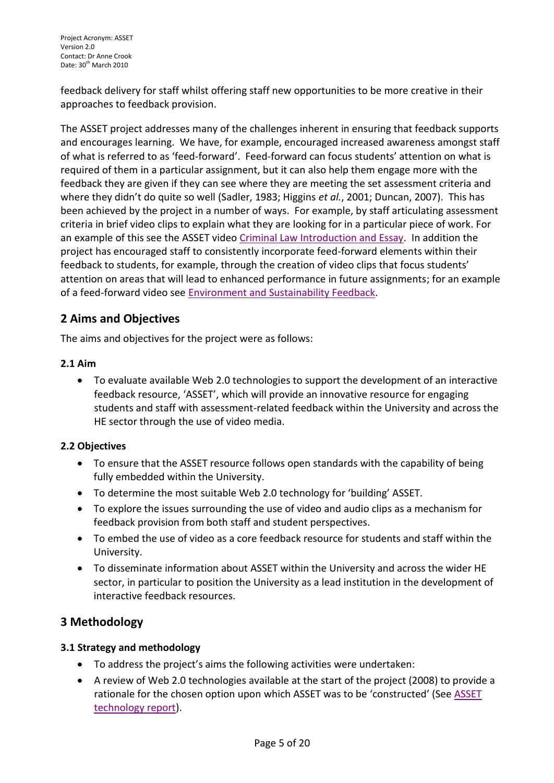feedback delivery for staff whilst offering staff new opportunities to be more creative in their approaches to feedback provision.

The ASSET project addresses many of the challenges inherent in ensuring that feedback supports and encourages learning. We have, for example, encouraged increased awareness amongst staff of what is referred to as 'feed-forward'. Feed-forward can focus students' attention on what is required of them in a particular assignment, but it can also help them engage more with the feedback they are given if they can see where they are meeting the set assessment criteria and where they didn't do quite so well (Sadler, 1983; Higgins *et al.*, 2001; Duncan, 2007). This has been achieved by the project in a number of ways. For example, by staff articulating assessment criteria in brief video clips to explain what they are looking for in a particular piece of work. For an example of this see the ASSET video [Criminal Law Introduction and Essay.](http://www.reading.ac.uk/nmsruntime/saveasdialog.aspx?lID=51207&sID=158380) In addition the project has encouraged staff to consistently incorporate feed-forward elements within their feedback to students, for example, through the creation of video clips that focus students' attention on areas that will lead to enhanced performance in future assignments; for an example of a feed-forward video see [Environment and Sustainability Feedback.](http://www.reading.ac.uk/nmsruntime/saveasdialog.aspx?lID=51209&sID=158380)

# <span id="page-4-0"></span>**2 Aims and Objectives**

The aims and objectives for the project were as follows:

#### <span id="page-4-1"></span>**2.1 Aim**

 To evaluate available Web 2.0 technologies to support the development of an interactive feedback resource, 'ASSET', which will provide an innovative resource for engaging students and staff with assessment-related feedback within the University and across the HE sector through the use of video media.

#### <span id="page-4-2"></span>**2.2 Objectives**

- To ensure that the ASSET resource follows open standards with the capability of being fully embedded within the University.
- To determine the most suitable Web 2.0 technology for 'building' ASSET.
- To explore the issues surrounding the use of video and audio clips as a mechanism for feedback provision from both staff and student perspectives.
- To embed the use of video as a core feedback resource for students and staff within the University.
- To disseminate information about ASSET within the University and across the wider HE sector, in particular to position the University as a lead institution in the development of interactive feedback resources.

## <span id="page-4-3"></span>**3 Methodology**

#### <span id="page-4-4"></span>**3.1 Strategy and methodology**

- To address the project's aims the following activities were undertaken:
- A review of Web 2.0 technologies available at the start of the project (2008) to provide a rationale for the chosen option upon which [ASSET](http://www.reading.ac.uk/asset/Whatisasset/asset-ASSETSoftware.aspx) was to be 'constructed' (See ASSET [technology report\)](http://www.reading.ac.uk/asset/Whatisasset/asset-ASSETSoftware.aspx).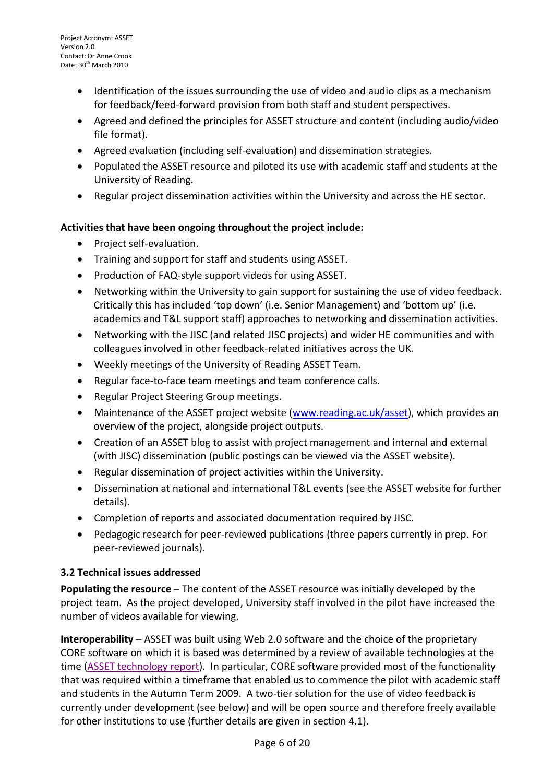- Identification of the issues surrounding the use of video and audio clips as a mechanism for feedback/feed-forward provision from both staff and student perspectives.
- Agreed and defined the principles for ASSET structure and content (including audio/video file format).
- Agreed evaluation (including self-evaluation) and dissemination strategies.
- Populated the ASSET resource and piloted its use with academic staff and students at the University of Reading.
- Regular project dissemination activities within the University and across the HE sector.

#### **Activities that have been ongoing throughout the project include:**

- Project self-evaluation.
- Training and support for staff and students using ASSET.
- Production of FAQ-style support videos for using ASSET.
- Networking within the University to gain support for sustaining the use of video feedback. Critically this has included 'top down' (i.e. Senior Management) and 'bottom up' (i.e. academics and T&L support staff) approaches to networking and dissemination activities.
- Networking with the JISC (and related JISC projects) and wider HE communities and with colleagues involved in other feedback-related initiatives across the UK.
- Weekly meetings of the University of Reading ASSET Team.
- Regular face-to-face team meetings and team conference calls.
- Regular Project Steering Group meetings.
- Maintenance of the ASSET project website [\(www.reading.ac.uk/asset\)](http://www.reading.ac.uk/asset), which provides an overview of the project, alongside project outputs.
- Creation of an ASSET blog to assist with project management and internal and external (with JISC) dissemination (public postings can be viewed via the ASSET website).
- Regular dissemination of project activities within the University.
- Dissemination at national and international T&L events (see the ASSET website for further details).
- Completion of reports and associated documentation required by JISC.
- Pedagogic research for peer-reviewed publications (three papers currently in prep. For peer-reviewed journals).

#### <span id="page-5-0"></span>**3.2 Technical issues addressed**

**Populating the resource** – The content of the ASSET resource was initially developed by the project team. As the project developed, University staff involved in the pilot have increased the number of videos available for viewing.

**Interoperability** – ASSET was built using Web 2.0 software and the choice of the proprietary CORE software on which it is based was determined by a review of available technologies at the time [\(ASSET technology report\)](http://www.reading.ac.uk/asset/Whatisasset/asset-ASSETSoftware.aspx). In particular, CORE software provided most of the functionality that was required within a timeframe that enabled us to commence the pilot with academic staff and students in the Autumn Term 2009. A two-tier solution for the use of video feedback is currently under development (see below) and will be open source and therefore freely available for other institutions to use (further details are given in section 4.1).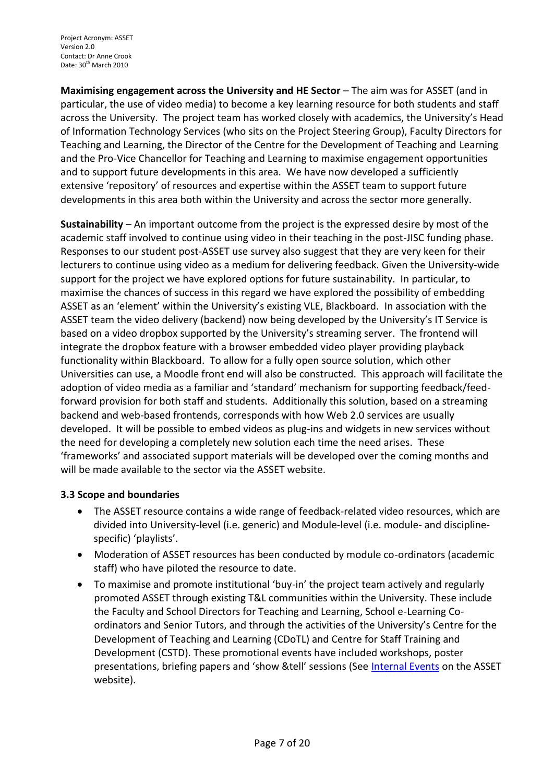**Maximising engagement across the University and HE Sector – The aim was for ASSET (and in** particular, the use of video media) to become a key learning resource for both students and staff across the University. The project team has worked closely with academics, the University's Head of Information Technology Services (who sits on the Project Steering Group), Faculty Directors for Teaching and Learning, the Director of the Centre for the Development of Teaching and Learning and the Pro-Vice Chancellor for Teaching and Learning to maximise engagement opportunities and to support future developments in this area. We have now developed a sufficiently extensive 'repository' of resources and expertise within the ASSET team to support future developments in this area both within the University and across the sector more generally.

**Sustainability** – An important outcome from the project is the expressed desire by most of the academic staff involved to continue using video in their teaching in the post-JISC funding phase. Responses to our student post-ASSET use survey also suggest that they are very keen for their lecturers to continue using video as a medium for delivering feedback. Given the University-wide support for the project we have explored options for future sustainability. In particular, to maximise the chances of success in this regard we have explored the possibility of embedding ASSET as an 'element' within the University's existing VLE, Blackboard. In association with the ASSET team the video delivery (backend) now being developed by the University's IT Service is based on a video dropbox supported by the University's streaming server. The frontend will integrate the dropbox feature with a browser embedded video player providing playback functionality within Blackboard. To allow for a fully open source solution, which other Universities can use, a Moodle front end will also be constructed. This approach will facilitate the adoption of video media as a familiar and 'standard' mechanism for supporting feedback/feedforward provision for both staff and students. Additionally this solution, based on a streaming backend and web-based frontends, corresponds with how Web 2.0 services are usually developed. It will be possible to embed videos as plug-ins and widgets in new services without the need for developing a completely new solution each time the need arises. These 'frameworks' and associated support materials will be developed over the coming months and will be made available to the sector via the ASSET website.

#### <span id="page-6-0"></span>**3.3 Scope and boundaries**

- The ASSET resource contains a wide range of feedback-related video resources, which are divided into University-level (i.e. generic) and Module-level (i.e. module- and disciplinespecific) 'playlists'.
- Moderation of ASSET resources has been conducted by module co-ordinators (academic staff) who have piloted the resource to date.
- To maximise and promote institutional 'buy-in' the project team actively and regularly promoted ASSET through existing T&L communities within the University. These include the Faculty and School Directors for Teaching and Learning, School e-Learning Coordinators and Senior Tutors, and through the activities of the University's Centre for the Development of Teaching and Learning (CDoTL) and Centre for Staff Training and Development (CSTD). These promotional events have included workshops, poster presentations, briefing papers and 'show &tell' sessions (See [Internal Events](http://www.reading.ac.uk/asset/ProjectOutputs/asset-InternalEvents.aspx) on the ASSET website).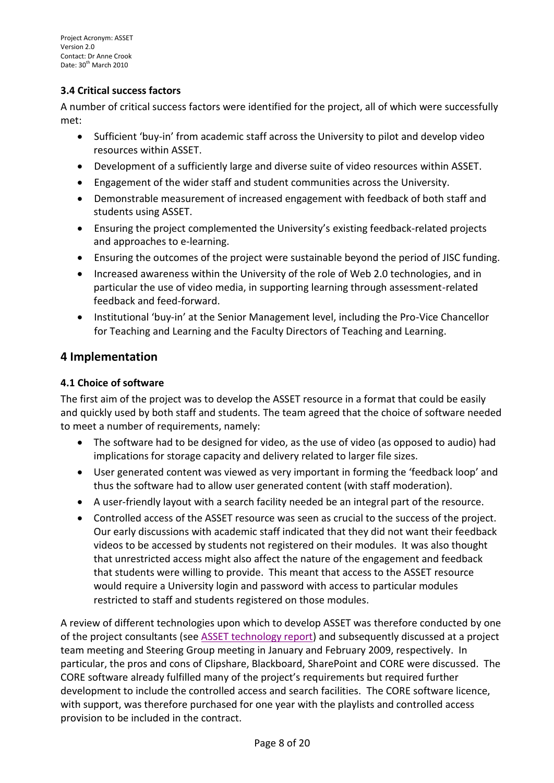### <span id="page-7-0"></span>**3.4 Critical success factors**

A number of critical success factors were identified for the project, all of which were successfully met:

- Sufficient 'buy-in' from academic staff across the University to pilot and develop video resources within ASSET.
- Development of a sufficiently large and diverse suite of video resources within ASSET.
- Engagement of the wider staff and student communities across the University.
- Demonstrable measurement of increased engagement with feedback of both staff and students using ASSET.
- Ensuring the project complemented the University's existing feedback-related projects and approaches to e-learning.
- Ensuring the outcomes of the project were sustainable beyond the period of JISC funding.
- Increased awareness within the University of the role of Web 2.0 technologies, and in particular the use of video media, in supporting learning through assessment-related feedback and feed-forward.
- Institutional 'buy-in' at the Senior Management level, including the Pro-Vice Chancellor for Teaching and Learning and the Faculty Directors of Teaching and Learning.

## <span id="page-7-1"></span>**4 Implementation**

#### <span id="page-7-2"></span>**4.1 Choice of software**

The first aim of the project was to develop the ASSET resource in a format that could be easily and quickly used by both staff and students. The team agreed that the choice of software needed to meet a number of requirements, namely:

- The software had to be designed for video, as the use of video (as opposed to audio) had implications for storage capacity and delivery related to larger file sizes.
- User generated content was viewed as very important in forming the 'feedback loop' and thus the software had to allow user generated content (with staff moderation).
- A user-friendly layout with a search facility needed be an integral part of the resource.
- Controlled access of the ASSET resource was seen as crucial to the success of the project. Our early discussions with academic staff indicated that they did not want their feedback videos to be accessed by students not registered on their modules. It was also thought that unrestricted access might also affect the nature of the engagement and feedback that students were willing to provide. This meant that access to the ASSET resource would require a University login and password with access to particular modules restricted to staff and students registered on those modules.

A review of different technologies upon which to develop ASSET was therefore conducted by one of the project consultants (see [ASSET technology report\)](http://www.reading.ac.uk/asset/Whatisasset/asset-ASSETSoftware.aspx) and subsequently discussed at a project team meeting and Steering Group meeting in January and February 2009, respectively. In particular, the pros and cons of Clipshare, Blackboard, SharePoint and CORE were discussed. The CORE software already fulfilled many of the project's requirements but required further development to include the controlled access and search facilities. The CORE software licence, with support, was therefore purchased for one year with the playlists and controlled access provision to be included in the contract.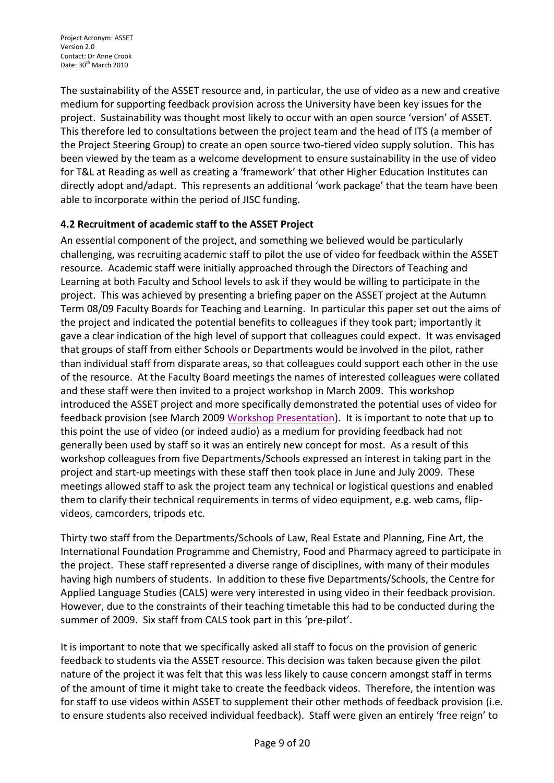The sustainability of the ASSET resource and, in particular, the use of video as a new and creative medium for supporting feedback provision across the University have been key issues for the project. Sustainability was thought most likely to occur with an open source 'version' of ASSET. This therefore led to consultations between the project team and the head of ITS (a member of the Project Steering Group) to create an open source two-tiered video supply solution. This has been viewed by the team as a welcome development to ensure sustainability in the use of video for T&L at Reading as well as creating a 'framework' that other Higher Education Institutes can directly adopt and/adapt. This represents an additional 'work package' that the team have been able to incorporate within the period of JISC funding.

## <span id="page-8-0"></span>**4.2 Recruitment of academic staff to the ASSET Project**

An essential component of the project, and something we believed would be particularly challenging, was recruiting academic staff to pilot the use of video for feedback within the ASSET resource. Academic staff were initially approached through the Directors of Teaching and Learning at both Faculty and School levels to ask if they would be willing to participate in the project. This was achieved by presenting a briefing paper on the ASSET project at the Autumn Term 08/09 Faculty Boards for Teaching and Learning. In particular this paper set out the aims of the project and indicated the potential benefits to colleagues if they took part; importantly it gave a clear indication of the high level of support that colleagues could expect. It was envisaged that groups of staff from either Schools or Departments would be involved in the pilot, rather than individual staff from disparate areas, so that colleagues could support each other in the use of the resource. At the Faculty Board meetings the names of interested colleagues were collated and these staff were then invited to a project workshop in March 2009. This workshop introduced the ASSET project and more specifically demonstrated the potential uses of video for feedback provision (see March 2009 [Workshop Presentation\)](http://www.reading.ac.uk/nmsruntime/saveasdialog.aspx?lID=51617&sID=187616). It is important to note that up to this point the use of video (or indeed audio) as a medium for providing feedback had not generally been used by staff so it was an entirely new concept for most. As a result of this workshop colleagues from five Departments/Schools expressed an interest in taking part in the project and start-up meetings with these staff then took place in June and July 2009. These meetings allowed staff to ask the project team any technical or logistical questions and enabled them to clarify their technical requirements in terms of video equipment, e.g. web cams, flipvideos, camcorders, tripods etc.

Thirty two staff from the Departments/Schools of Law, Real Estate and Planning, Fine Art, the International Foundation Programme and Chemistry, Food and Pharmacy agreed to participate in the project. These staff represented a diverse range of disciplines, with many of their modules having high numbers of students. In addition to these five Departments/Schools, the Centre for Applied Language Studies (CALS) were very interested in using video in their feedback provision. However, due to the constraints of their teaching timetable this had to be conducted during the summer of 2009. Six staff from CALS took part in this 'pre-pilot'.

It is important to note that we specifically asked all staff to focus on the provision of generic feedback to students via the ASSET resource. This decision was taken because given the pilot nature of the project it was felt that this was less likely to cause concern amongst staff in terms of the amount of time it might take to create the feedback videos. Therefore, the intention was for staff to use videos within ASSET to supplement their other methods of feedback provision (i.e. to ensure students also received individual feedback). Staff were given an entirely 'free reign' to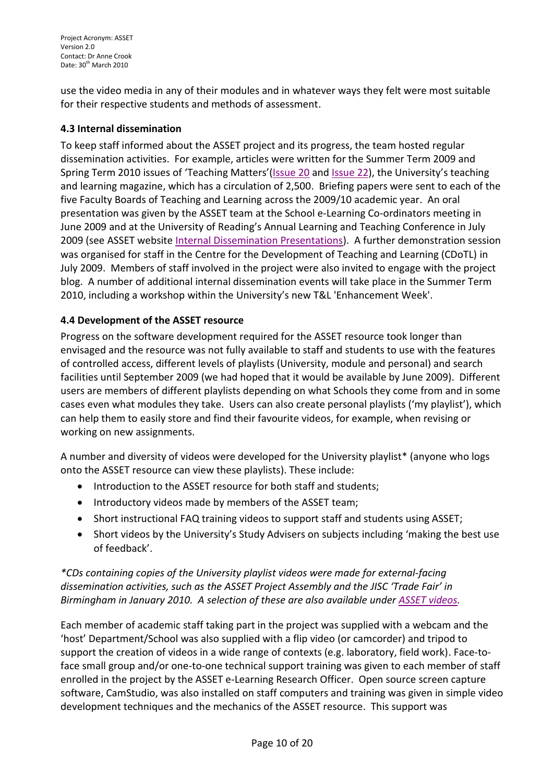Project Acronym: ASSET Version 2.0 Contact: Dr Anne Crook Date: 30<sup>th</sup> March 2010

use the video media in any of their modules and in whatever ways they felt were most suitable for their respective students and methods of assessment.

### <span id="page-9-0"></span>**4.3 Internal dissemination**

To keep staff informed about the ASSET project and its progress, the team hosted regular dissemination activities. For example, articles were written for the Summer Term 2009 and Spring Term 2010 issues of 'Teaching Matters'([Issue 20](http://www.reading.ac.uk/asset/ProjectOutputs/asset-Publications.aspx) and [Issue 22\)](http://www.reading.ac.uk/asset/ProjectOutputs/asset-Publications.aspx), the University's teaching and learning magazine, which has a circulation of 2,500. Briefing papers were sent to each of the five Faculty Boards of Teaching and Learning across the 2009/10 academic year. An oral presentation was given by the ASSET team at the School e-Learning Co-ordinators meeting in June 2009 and at the University of Reading's Annual Learning and Teaching Conference in July 2009 (see ASSET website [Internal Dissemination Presentations\)](http://www.reading.ac.uk/asset/ProjectOutputs/asset-InternalEvents.aspx). A further demonstration session was organised for staff in the Centre for the Development of Teaching and Learning (CDoTL) in July 2009. Members of staff involved in the project were also invited to engage with the project blog. A number of additional internal dissemination events will take place in the Summer Term 2010, including a workshop within the University's new T&L 'Enhancement Week'.

## <span id="page-9-1"></span>**4.4 Development of the ASSET resource**

Progress on the software development required for the ASSET resource took longer than envisaged and the resource was not fully available to staff and students to use with the features of controlled access, different levels of playlists (University, module and personal) and search facilities until September 2009 (we had hoped that it would be available by June 2009). Different users are members of different playlists depending on what Schools they come from and in some cases even what modules they take. Users can also create personal playlists ('my playlist'), which can help them to easily store and find their favourite videos, for example, when revising or working on new assignments.

A number and diversity of videos were developed for the University playlist\* (anyone who logs onto the ASSET resource can view these playlists). These include:

- Introduction to the ASSET resource for both staff and students;
- Introductory videos made by members of the ASSET team;
- Short instructional FAQ training videos to support staff and students using ASSET;
- Short videos by the University's Study Advisers on subjects including 'making the best use of feedback'.

## *\*CDs containing copies of the University playlist videos were made for external-facing dissemination activities, such as the ASSET Project Assembly and the JISC 'Trade Fair' in Birmingham in January 2010. A selection of these are also available under [ASSET videos.](http://www.reading.ac.uk/asset/Whatisasset/asset-ASSETvideos.aspx)*

Each member of academic staff taking part in the project was supplied with a webcam and the 'host' Department/School was also supplied with a flip video (or camcorder) and tripod to support the creation of videos in a wide range of contexts (e.g. laboratory, field work). Face-toface small group and/or one-to-one technical support training was given to each member of staff enrolled in the project by the ASSET e-Learning Research Officer. Open source screen capture software, CamStudio, was also installed on staff computers and training was given in simple video development techniques and the mechanics of the ASSET resource. This support was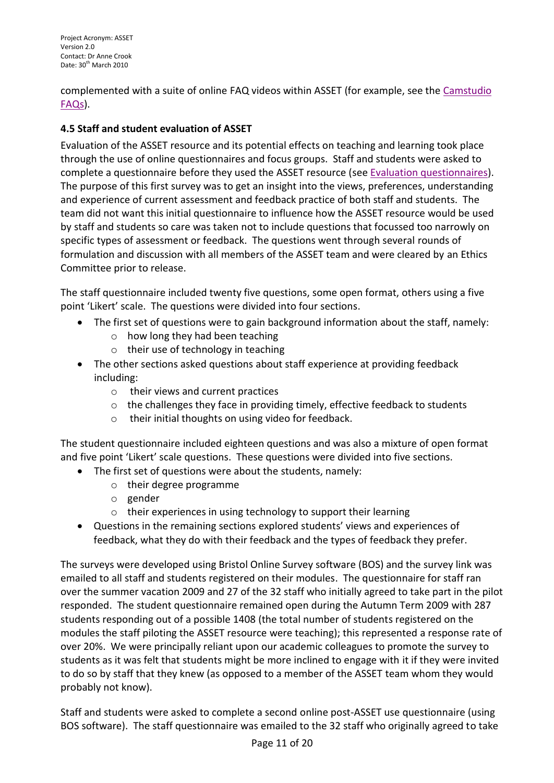complemented with a suite of online FAQ videos within ASSET (for example, see the [Camstudio](http://www.reading.ac.uk/nmsruntime/saveasdialog.aspx?lID=51208&sID=158379)  [FAQs\)](http://www.reading.ac.uk/nmsruntime/saveasdialog.aspx?lID=51208&sID=158379).

## <span id="page-10-0"></span>**4.5 Staff and student evaluation of ASSET**

Evaluation of the ASSET resource and its potential effects on teaching and learning took place through the use of online questionnaires and focus groups. Staff and students were asked to complete a questionnaire before they used the ASSET resource (see [Evaluation questionnaires\)](http://www.reading.ac.uk/asset/ASSET@Reading/asset-evaluation.aspx). The purpose of this first survey was to get an insight into the views, preferences, understanding and experience of current assessment and feedback practice of both staff and students. The team did not want this initial questionnaire to influence how the ASSET resource would be used by staff and students so care was taken not to include questions that focussed too narrowly on specific types of assessment or feedback. The questions went through several rounds of formulation and discussion with all members of the ASSET team and were cleared by an Ethics Committee prior to release.

The staff questionnaire included twenty five questions, some open format, others using a five point 'Likert' scale. The questions were divided into four sections.

- The first set of questions were to gain background information about the staff, namely:
	- o how long they had been teaching
	- o their use of technology in teaching
- The other sections asked questions about staff experience at providing feedback including:
	- o their views and current practices
	- o the challenges they face in providing timely, effective feedback to students
	- o their initial thoughts on using video for feedback.

The student questionnaire included eighteen questions and was also a mixture of open format and five point 'Likert' scale questions. These questions were divided into five sections.

- The first set of questions were about the students, namely:
	- o their degree programme
	- o gender
	- o their experiences in using technology to support their learning
- Questions in the remaining sections explored students' views and experiences of feedback, what they do with their feedback and the types of feedback they prefer.

The surveys were developed using Bristol Online Survey software (BOS) and the survey link was emailed to all staff and students registered on their modules. The questionnaire for staff ran over the summer vacation 2009 and 27 of the 32 staff who initially agreed to take part in the pilot responded. The student questionnaire remained open during the Autumn Term 2009 with 287 students responding out of a possible 1408 (the total number of students registered on the modules the staff piloting the ASSET resource were teaching); this represented a response rate of over 20%. We were principally reliant upon our academic colleagues to promote the survey to students as it was felt that students might be more inclined to engage with it if they were invited to do so by staff that they knew (as opposed to a member of the ASSET team whom they would probably not know).

Staff and students were asked to complete a second online post-ASSET use questionnaire (using BOS software). The staff questionnaire was emailed to the 32 staff who originally agreed to take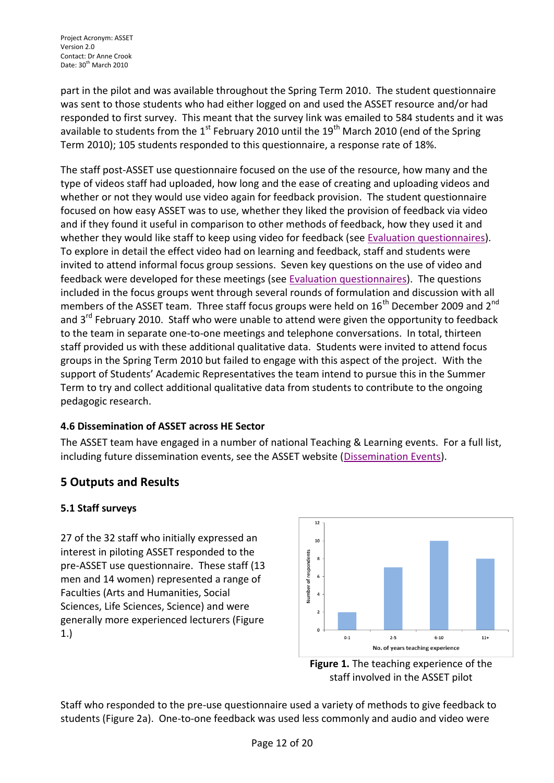part in the pilot and was available throughout the Spring Term 2010. The student questionnaire was sent to those students who had either logged on and used the ASSET resource and/or had responded to first survey. This meant that the survey link was emailed to 584 students and it was available to students from the 1<sup>st</sup> February 2010 until the 19<sup>th</sup> March 2010 (end of the Spring Term 2010); 105 students responded to this questionnaire, a response rate of 18%.

The staff post-ASSET use questionnaire focused on the use of the resource, how many and the type of videos staff had uploaded, how long and the ease of creating and uploading videos and whether or not they would use video again for feedback provision. The student questionnaire focused on how easy ASSET was to use, whether they liked the provision of feedback via video and if they found it useful in comparison to other methods of feedback, how they used it and whether they would like staff to keep using video for feedback (see [Evaluation questionnaires\)](http://www.reading.ac.uk/asset/ASSET@Reading/asset-evaluation.aspx). To explore in detail the effect video had on learning and feedback, staff and students were invited to attend informal focus group sessions. Seven key questions on the use of video and feedback were developed for these meetings (see [Evaluation questionnaires\)](http://www.reading.ac.uk/asset/ASSET@Reading/asset-evaluation.aspx). The questions included in the focus groups went through several rounds of formulation and discussion with all members of the ASSET team. Three staff focus groups were held on  $16^{th}$  December 2009 and  $2^{nd}$ and  $3^{rd}$  February 2010. Staff who were unable to attend were given the opportunity to feedback to the team in separate one-to-one meetings and telephone conversations. In total, thirteen staff provided us with these additional qualitative data. Students were invited to attend focus groups in the Spring Term 2010 but failed to engage with this aspect of the project. With the support of Students' Academic Representatives the team intend to pursue this in the Summer Term to try and collect additional qualitative data from students to contribute to the ongoing pedagogic research.

## <span id="page-11-0"></span>**4.6 Dissemination of ASSET across HE Sector**

The ASSET team have engaged in a number of national Teaching & Learning events. For a full list, including future dissemination events, see the ASSET website [\(Dissemination Events\)](http://www.reading.ac.uk/asset/ProjectOutputs/asset-ExternalEvents.aspx).

# <span id="page-11-1"></span>**5 Outputs and Results**

## <span id="page-11-2"></span>**5.1 Staff surveys**

27 of the 32 staff who initially expressed an interest in piloting ASSET responded to the pre-ASSET use questionnaire. These staff (13 men and 14 women) represented a range of Faculties (Arts and Humanities, Social Sciences, Life Sciences, Science) and were generally more experienced lecturers (Figure 1.)



**Figure 1.** The teaching experience of the staff involved in the ASSET pilot

Staff who responded to the pre-use questionnaire used a variety of methods to give feedback to students (Figure 2a). One-to-one feedback was used less commonly and audio and video were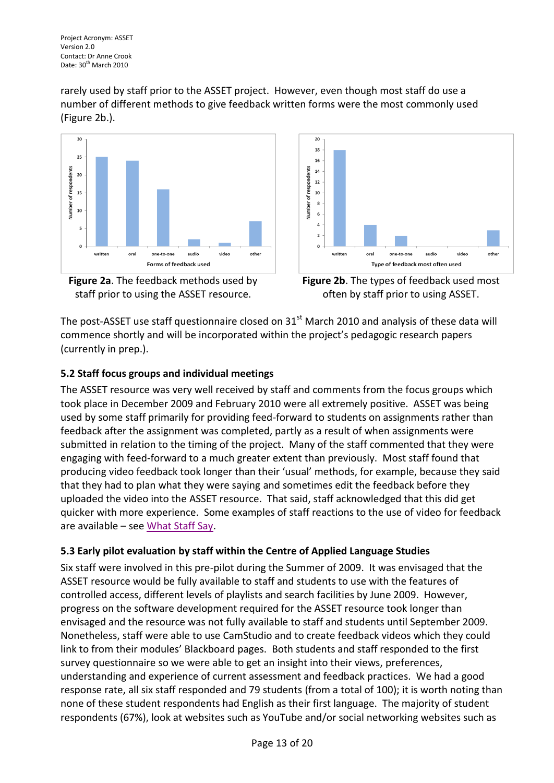rarely used by staff prior to the ASSET project. However, even though most staff do use a number of different methods to give feedback written forms were the most commonly used (Figure 2b.).







**Figure 2b**. The types of feedback used most often by staff prior to using ASSET.

The post-ASSET use staff questionnaire closed on  $31<sup>st</sup>$  March 2010 and analysis of these data will commence shortly and will be incorporated within the project's pedagogic research papers (currently in prep.).

## <span id="page-12-0"></span>**5.2 Staff focus groups and individual meetings**

The ASSET resource was very well received by staff and comments from the focus groups which took place in December 2009 and February 2010 were all extremely positive. ASSET was being used by some staff primarily for providing feed-forward to students on assignments rather than feedback after the assignment was completed, partly as a result of when assignments were submitted in relation to the timing of the project. Many of the staff commented that they were engaging with feed-forward to a much greater extent than previously. Most staff found that producing video feedback took longer than their 'usual' methods, for example, because they said that they had to plan what they were saying and sometimes edit the feedback before they uploaded the video into the ASSET resource. That said, staff acknowledged that this did get quicker with more experience. Some examples of staff reactions to the use of video for feedback are available – see [What Staff Say.](http://www.reading.ac.uk/asset/Whatisasset/asset-ASSETvideos.aspx)

## <span id="page-12-1"></span>**5.3 Early pilot evaluation by staff within the Centre of Applied Language Studies**

Six staff were involved in this pre-pilot during the Summer of 2009. It was envisaged that the ASSET resource would be fully available to staff and students to use with the features of controlled access, different levels of playlists and search facilities by June 2009. However, progress on the software development required for the ASSET resource took longer than envisaged and the resource was not fully available to staff and students until September 2009. Nonetheless, staff were able to use CamStudio and to create feedback videos which they could link to from their modules' Blackboard pages. Both students and staff responded to the first survey questionnaire so we were able to get an insight into their views, preferences, understanding and experience of current assessment and feedback practices. We had a good response rate, all six staff responded and 79 students (from a total of 100); it is worth noting than none of these student respondents had English as their first language. The majority of student respondents (67%), look at websites such as YouTube and/or social networking websites such as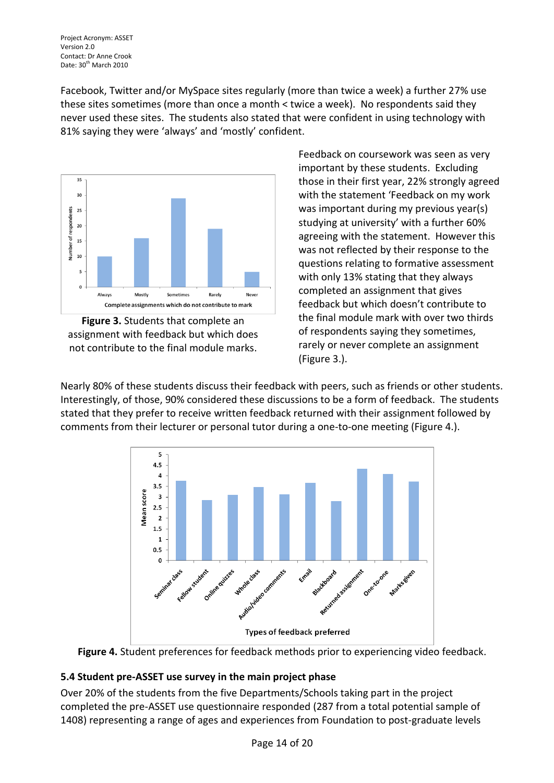Facebook, Twitter and/or MySpace sites regularly (more than twice a week) a further 27% use these sites sometimes (more than once a month < twice a week). No respondents said they never used these sites. The students also stated that were confident in using technology with 81% saying they were 'always' and 'mostly' confident.



**Figure 3.** Students that complete an assignment with feedback but which does not contribute to the final module marks.

Feedback on coursework was seen as very important by these students. Excluding those in their first year, 22% strongly agreed with the statement 'Feedback on my work was important during my previous year(s) studying at university' with a further 60% agreeing with the statement. However this was not reflected by their response to the questions relating to formative assessment with only 13% stating that they always completed an assignment that gives feedback but which doesn't contribute to the final module mark with over two thirds of respondents saying they sometimes, rarely or never complete an assignment (Figure 3.).

Nearly 80% of these students discuss their feedback with peers, such as friends or other students. Interestingly, of those, 90% considered these discussions to be a form of feedback. The students stated that they prefer to receive written feedback returned with their assignment followed by comments from their lecturer or personal tutor during a one-to-one meeting (Figure 4.).





## <span id="page-13-0"></span>**5.4 Student pre-ASSET use survey in the main project phase**

Over 20% of the students from the five Departments/Schools taking part in the project completed the pre-ASSET use questionnaire responded (287 from a total potential sample of 1408) representing a range of ages and experiences from Foundation to post-graduate levels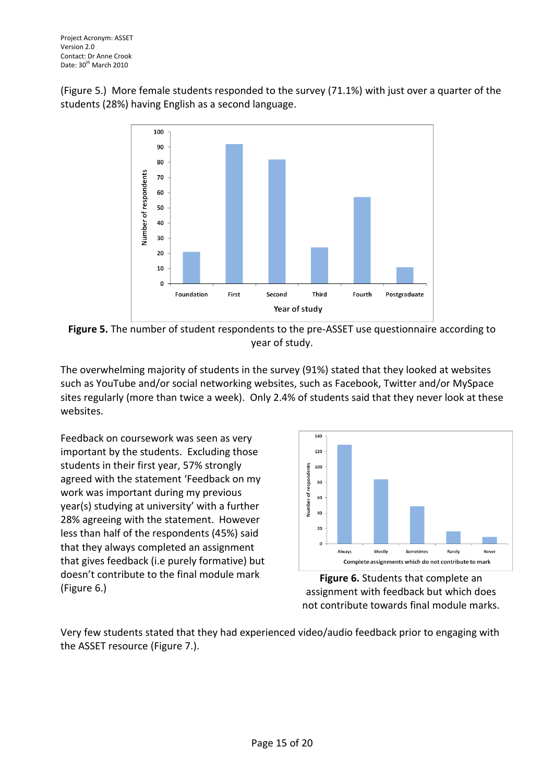(Figure 5.) More female students responded to the survey (71.1%) with just over a quarter of the students (28%) having English as a second language.



**Figure 5.** The number of student respondents to the pre-ASSET use questionnaire according to year of study.

The overwhelming majority of students in the survey (91%) stated that they looked at websites such as YouTube and/or social networking websites, such as Facebook, Twitter and/or MySpace sites regularly (more than twice a week). Only 2.4% of students said that they never look at these websites.

Feedback on coursework was seen as very important by the students. Excluding those students in their first year, 57% strongly agreed with the statement 'Feedback on my work was important during my previous year(s) studying at university' with a further 28% agreeing with the statement. However less than half of the respondents (45%) said that they always completed an assignment that gives feedback (i.e purely formative) but doesn't contribute to the final module mark (Figure 6.)



**Figure 6.** Students that complete an assignment with feedback but which does not contribute towards final module marks.

Very few students stated that they had experienced video/audio feedback prior to engaging with the ASSET resource (Figure 7.).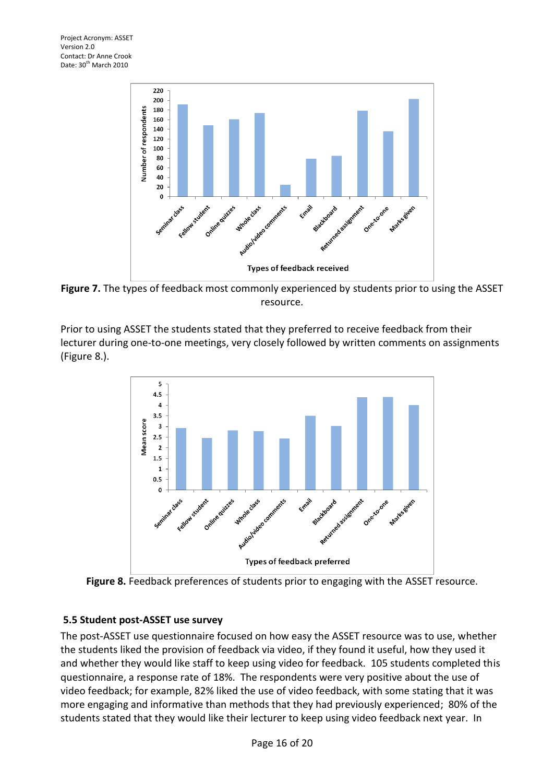

**Figure 7.** The types of feedback most commonly experienced by students prior to using the ASSET resource.

Prior to using ASSET the students stated that they preferred to receive feedback from their lecturer during one-to-one meetings, very closely followed by written comments on assignments (Figure 8.).



**Figure 8.** Feedback preferences of students prior to engaging with the ASSET resource.

#### <span id="page-15-0"></span>**5.5 Student post-ASSET use survey**

The post-ASSET use questionnaire focused on how easy the ASSET resource was to use, whether the students liked the provision of feedback via video, if they found it useful, how they used it and whether they would like staff to keep using video for feedback. 105 students completed this questionnaire, a response rate of 18%. The respondents were very positive about the use of video feedback; for example, 82% liked the use of video feedback, with some stating that it was more engaging and informative than methods that they had previously experienced; 80% of the students stated that they would like their lecturer to keep using video feedback next year. In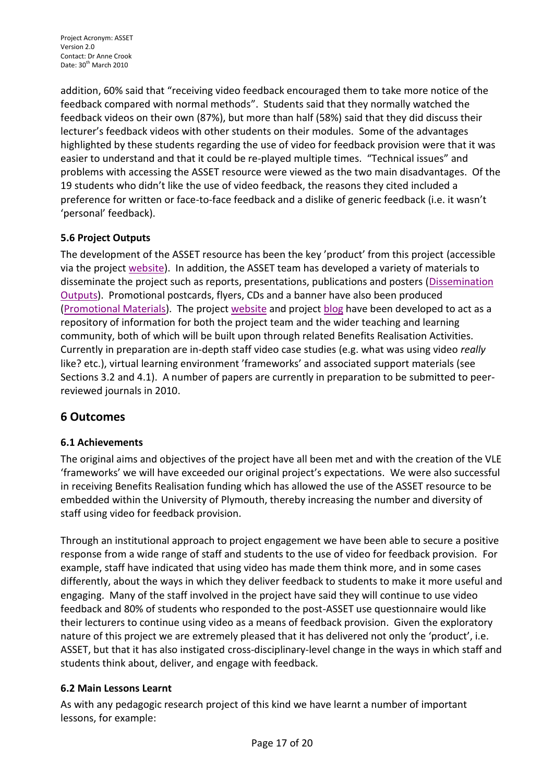addition, 60% said that "receiving video feedback encouraged them to take more notice of the feedback compared with normal methods". Students said that they normally watched the feedback videos on their own (87%), but more than half (58%) said that they did discuss their lecturer's feedback videos with other students on their modules. Some of the advantages highlighted by these students regarding the use of video for feedback provision were that it was easier to understand and that it could be re-played multiple times. "Technical issues" and problems with accessing the ASSET resource were viewed as the two main disadvantages. Of the 19 students who didn't like the use of video feedback, the reasons they cited included a preference for written or face-to-face feedback and a dislike of generic feedback (i.e. it wasn't 'personal' feedback).

## <span id="page-16-0"></span>**5.6 Project Outputs**

The development of the ASSET resource has been the key 'product' from this project (accessible via the project [website\)](http://www.reading.ac.uk/asset/). In addition, the ASSET team has developed a variety of materials to disseminate the project such as reports, presentations, publications and posters [\(Dissemination](http://www.reading.ac.uk/asset/ProjectOutputs/asset-ProjectOutputs.aspx)  [Outputs\)](http://www.reading.ac.uk/asset/ProjectOutputs/asset-ProjectOutputs.aspx). Promotional postcards, flyers, CDs and a banner have also been produced [\(Promotional Materials\)](http://www.reading.ac.uk/asset/ProjectOutputs/asset-PromotionalMaterials2.aspx). The project [website](http://www.reading.ac.uk/asset/) and project [blog](http://redgloo.sse.reading.ac.uk/asset/weblog) have been developed to act as a repository of information for both the project team and the wider teaching and learning community, both of which will be built upon through related Benefits Realisation Activities. Currently in preparation are in-depth staff video case studies (e.g. what was using video *really* like? etc.), virtual learning environment 'frameworks' and associated support materials (see Sections 3.2 and 4.1). A number of papers are currently in preparation to be submitted to peerreviewed journals in 2010.

## <span id="page-16-1"></span>**6 Outcomes**

#### <span id="page-16-2"></span>**6.1 Achievements**

The original aims and objectives of the project have all been met and with the creation of the VLE 'frameworks' we will have exceeded our original project's expectations. We were also successful in receiving Benefits Realisation funding which has allowed the use of the ASSET resource to be embedded within the University of Plymouth, thereby increasing the number and diversity of staff using video for feedback provision.

Through an institutional approach to project engagement we have been able to secure a positive response from a wide range of staff and students to the use of video for feedback provision. For example, staff have indicated that using video has made them think more, and in some cases differently, about the ways in which they deliver feedback to students to make it more useful and engaging. Many of the staff involved in the project have said they will continue to use video feedback and 80% of students who responded to the post-ASSET use questionnaire would like their lecturers to continue using video as a means of feedback provision. Given the exploratory nature of this project we are extremely pleased that it has delivered not only the 'product', i.e. ASSET, but that it has also instigated cross-disciplinary-level change in the ways in which staff and students think about, deliver, and engage with feedback.

#### <span id="page-16-3"></span>**6.2 Main Lessons Learnt**

As with any pedagogic research project of this kind we have learnt a number of important lessons, for example: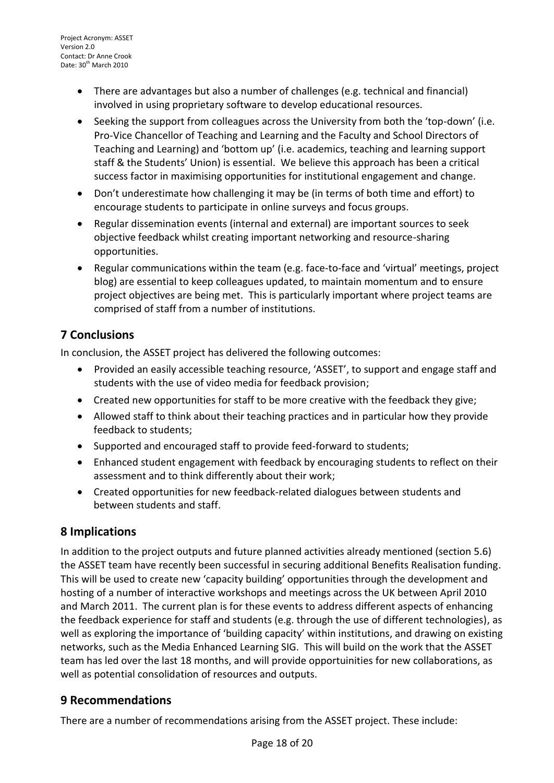- There are advantages but also a number of challenges (e.g. technical and financial) involved in using proprietary software to develop educational resources.
- Seeking the support from colleagues across the University from both the 'top-down' (i.e. Pro-Vice Chancellor of Teaching and Learning and the Faculty and School Directors of Teaching and Learning) and 'bottom up' (i.e. academics, teaching and learning support staff & the Students' Union) is essential. We believe this approach has been a critical success factor in maximising opportunities for institutional engagement and change.
- Don't underestimate how challenging it may be (in terms of both time and effort) to encourage students to participate in online surveys and focus groups.
- Regular dissemination events (internal and external) are important sources to seek objective feedback whilst creating important networking and resource-sharing opportunities.
- Regular communications within the team (e.g. face-to-face and 'virtual' meetings, project blog) are essential to keep colleagues updated, to maintain momentum and to ensure project objectives are being met. This is particularly important where project teams are comprised of staff from a number of institutions.

# <span id="page-17-0"></span>**7 Conclusions**

In conclusion, the ASSET project has delivered the following outcomes:

- Provided an easily accessible teaching resource, 'ASSET', to support and engage staff and students with the use of video media for feedback provision;
- Created new opportunities for staff to be more creative with the feedback they give;
- Allowed staff to think about their teaching practices and in particular how they provide feedback to students;
- Supported and encouraged staff to provide feed-forward to students;
- Enhanced student engagement with feedback by encouraging students to reflect on their assessment and to think differently about their work;
- Created opportunities for new feedback-related dialogues between students and between students and staff.

# <span id="page-17-1"></span>**8 Implications**

In addition to the project outputs and future planned activities already mentioned (section 5.6) the ASSET team have recently been successful in securing additional Benefits Realisation funding. This will be used to create new 'capacity building' opportunities through the development and hosting of a number of interactive workshops and meetings across the UK between April 2010 and March 2011. The current plan is for these events to address different aspects of enhancing the feedback experience for staff and students (e.g. through the use of different technologies), as well as exploring the importance of 'building capacity' within institutions, and drawing on existing networks, such as the Media Enhanced Learning SIG. This will build on the work that the ASSET team has led over the last 18 months, and will provide opportuinities for new collaborations, as well as potential consolidation of resources and outputs.

# <span id="page-17-2"></span>**9 Recommendations**

There are a number of recommendations arising from the ASSET project. These include: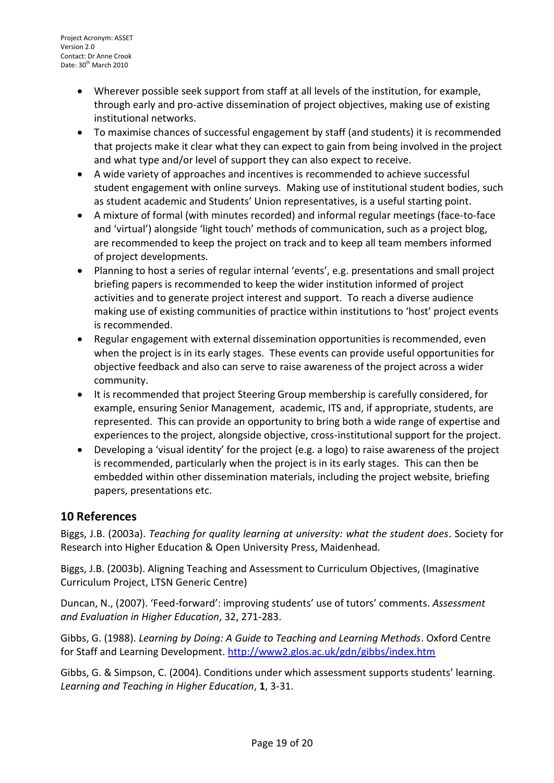- Wherever possible seek support from staff at all levels of the institution, for example, through early and pro-active dissemination of project objectives, making use of existing institutional networks.
- To maximise chances of successful engagement by staff (and students) it is recommended that projects make it clear what they can expect to gain from being involved in the project and what type and/or level of support they can also expect to receive.
- A wide variety of approaches and incentives is recommended to achieve successful student engagement with online surveys. Making use of institutional student bodies, such as student academic and Students' Union representatives, is a useful starting point.
- A mixture of formal (with minutes recorded) and informal regular meetings (face-to-face and 'virtual') alongside 'light touch' methods of communication, such as a project blog, are recommended to keep the project on track and to keep all team members informed of project developments.
- Planning to host a series of regular internal 'events', e.g. presentations and small project briefing papers is recommended to keep the wider institution informed of project activities and to generate project interest and support. To reach a diverse audience making use of existing communities of practice within institutions to 'host' project events is recommended.
- Regular engagement with external dissemination opportunities is recommended, even when the project is in its early stages. These events can provide useful opportunities for objective feedback and also can serve to raise awareness of the project across a wider community.
- It is recommended that project Steering Group membership is carefully considered, for example, ensuring Senior Management, academic, ITS and, if appropriate, students, are represented. This can provide an opportunity to bring both a wide range of expertise and experiences to the project, alongside objective, cross-institutional support for the project.
- Developing a 'visual identity' for the project (e.g. a logo) to raise awareness of the project is recommended, particularly when the project is in its early stages. This can then be embedded within other dissemination materials, including the project website, briefing papers, presentations etc.

# <span id="page-18-0"></span>**10 References**

Biggs, J.B. (2003a). *Teaching for quality learning at university: what the student does*. Society for Research into Higher Education & Open University Press, Maidenhead.

Biggs, J.B. (2003b). Aligning Teaching and Assessment to Curriculum Objectives, (Imaginative Curriculum Project, LTSN Generic Centre)

Duncan, N., (2007). 'Feed-forward': improving students' use of tutors' comments. *Assessment and Evaluation in Higher Education*, 32, 271-283.

Gibbs, G. (1988). *Learning by Doing: A Guide to Teaching and Learning Methods*. Oxford Centre for Staff and Learning Development.<http://www2.glos.ac.uk/gdn/gibbs/index.htm>

Gibbs, G. & Simpson, C. (2004). Conditions under which assessment supports students' learning. *Learning and Teaching in Higher Education*, **1**, 3-31.